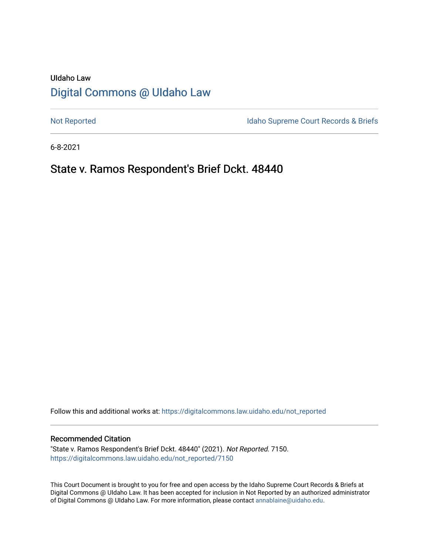# UIdaho Law [Digital Commons @ UIdaho Law](https://digitalcommons.law.uidaho.edu/)

[Not Reported](https://digitalcommons.law.uidaho.edu/not_reported) **Idaho Supreme Court Records & Briefs** 

6-8-2021

# State v. Ramos Respondent's Brief Dckt. 48440

Follow this and additional works at: [https://digitalcommons.law.uidaho.edu/not\\_reported](https://digitalcommons.law.uidaho.edu/not_reported?utm_source=digitalcommons.law.uidaho.edu%2Fnot_reported%2F7150&utm_medium=PDF&utm_campaign=PDFCoverPages) 

#### Recommended Citation

"State v. Ramos Respondent's Brief Dckt. 48440" (2021). Not Reported. 7150. [https://digitalcommons.law.uidaho.edu/not\\_reported/7150](https://digitalcommons.law.uidaho.edu/not_reported/7150?utm_source=digitalcommons.law.uidaho.edu%2Fnot_reported%2F7150&utm_medium=PDF&utm_campaign=PDFCoverPages)

This Court Document is brought to you for free and open access by the Idaho Supreme Court Records & Briefs at Digital Commons @ UIdaho Law. It has been accepted for inclusion in Not Reported by an authorized administrator of Digital Commons @ UIdaho Law. For more information, please contact [annablaine@uidaho.edu](mailto:annablaine@uidaho.edu).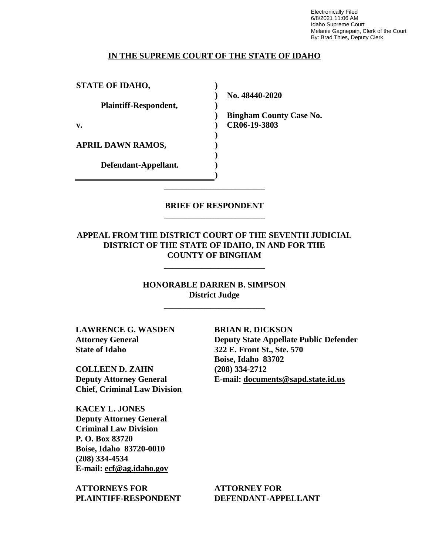Electronically Filed 6/8/2021 11:06 AM Idaho Supreme Court Melanie Gagnepain, Clerk of the Court By: Brad Thies, Deputy Clerk

#### **IN THE SUPREME COURT OF THE STATE OF IDAHO**

**STATE OF IDAHO, Plaintiff-Respondent, v. APRIL DAWN RAMOS, Defendant-Appellant. ) ) ) ) ) ) ) ) ) )**

**No. 48440-2020** 

**Bingham County Case No. CR06-19-3803** 

### **BRIEF OF RESPONDENT** \_\_\_\_\_\_\_\_\_\_\_\_\_\_\_\_\_\_\_\_\_\_\_\_

\_\_\_\_\_\_\_\_\_\_\_\_\_\_\_\_\_\_\_\_\_\_\_\_

### **APPEAL FROM THE DISTRICT COURT OF THE SEVENTH JUDICIAL DISTRICT OF THE STATE OF IDAHO, IN AND FOR THE COUNTY OF BINGHAM**

\_\_\_\_\_\_\_\_\_\_\_\_\_\_\_\_\_\_\_\_\_\_\_\_

### **HONORABLE DARREN B. SIMPSON District Judge**

\_\_\_\_\_\_\_\_\_\_\_\_\_\_\_\_\_\_\_\_\_\_\_\_

**LAWRENCE G. WASDEN Attorney General State of Idaho**

**COLLEEN D. ZAHN Deputy Attorney General Chief, Criminal Law Division**

**KACEY L. JONES Deputy Attorney General Criminal Law Division P. O. Box 83720 Boise, Idaho 83720-0010 (208) 334-4534 E-mail: ecf@ag.idaho.gov** 

**ATTORNEYS FOR PLAINTIFF-RESPONDENT**

**BRIAN R. DICKSON Deputy State Appellate Public Defender 322 E. Front St., Ste. 570 Boise, Idaho 83702 (208) 334-2712 E-mail: documents@sapd.state.id.us** 

**ATTORNEY FOR DEFENDANT-APPELLANT**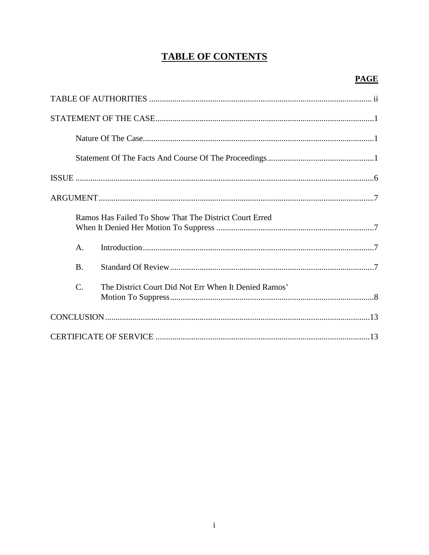# **TABLE OF CONTENTS**

|  |                | Ramos Has Failed To Show That The District Court Erred |  |
|--|----------------|--------------------------------------------------------|--|
|  | $\mathsf{A}$ . |                                                        |  |
|  | <b>B.</b>      |                                                        |  |
|  | C.             | The District Court Did Not Err When It Denied Ramos'   |  |
|  |                |                                                        |  |
|  |                |                                                        |  |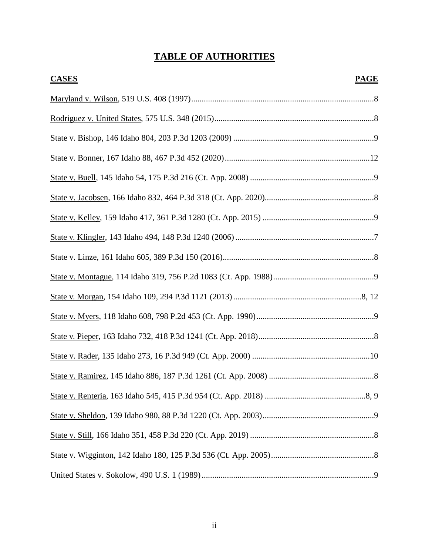# **TABLE OF AUTHORITIES**

| <b>CASES</b> | <b>PAGE</b> |
|--------------|-------------|
|              |             |
|              |             |
|              |             |
|              |             |
|              |             |
|              |             |
|              |             |
|              |             |
|              |             |
|              |             |
|              |             |
|              |             |
|              |             |
|              |             |
|              |             |
|              |             |
|              |             |
|              |             |
|              |             |
|              |             |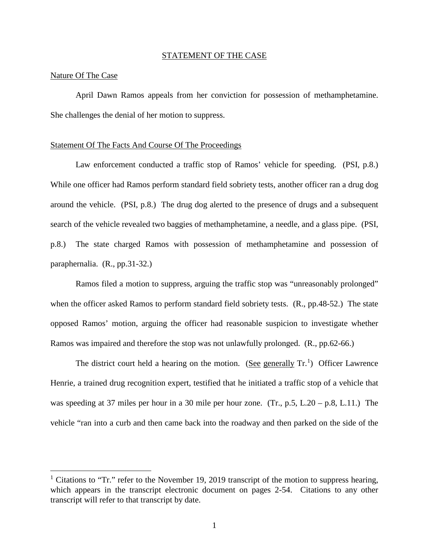#### STATEMENT OF THE CASE

#### Nature Of The Case

 $\overline{a}$ 

April Dawn Ramos appeals from her conviction for possession of methamphetamine. She challenges the denial of her motion to suppress.

#### Statement Of The Facts And Course Of The Proceedings

Law enforcement conducted a traffic stop of Ramos' vehicle for speeding. (PSI, p.8.) While one officer had Ramos perform standard field sobriety tests, another officer ran a drug dog around the vehicle. (PSI, p.8.) The drug dog alerted to the presence of drugs and a subsequent search of the vehicle revealed two baggies of methamphetamine, a needle, and a glass pipe. (PSI, p.8.) The state charged Ramos with possession of methamphetamine and possession of paraphernalia. (R., pp.31-32.)

Ramos filed a motion to suppress, arguing the traffic stop was "unreasonably prolonged" when the officer asked Ramos to perform standard field sobriety tests. (R., pp.48-52.) The state opposed Ramos' motion, arguing the officer had reasonable suspicion to investigate whether Ramos was impaired and therefore the stop was not unlawfully prolonged. (R., pp.62-66.)

The district court held a hearing on the motion. (See generally  $Tr^{1}$  $Tr^{1}$  $Tr^{1}$ ) Officer Lawrence Henrie, a trained drug recognition expert, testified that he initiated a traffic stop of a vehicle that was speeding at 37 miles per hour in a 30 mile per hour zone. (Tr., p.5, L.20 – p.8, L.11.) The vehicle "ran into a curb and then came back into the roadway and then parked on the side of the

<span id="page-4-0"></span><sup>&</sup>lt;sup>1</sup> Citations to "Tr." refer to the November 19, 2019 transcript of the motion to suppress hearing, which appears in the transcript electronic document on pages 2-54. Citations to any other transcript will refer to that transcript by date.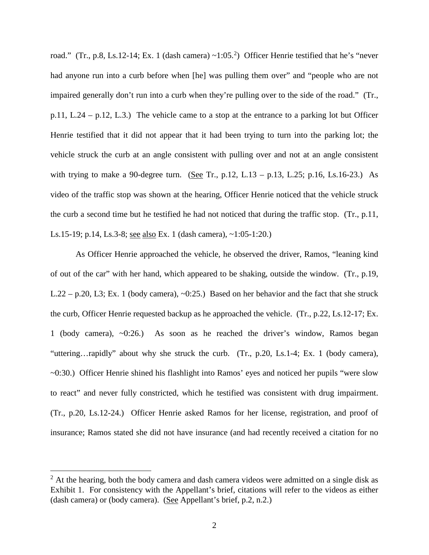road." (Tr., p.8, Ls.1[2](#page-5-0)-14; Ex. 1 (dash camera)  $\sim$ 1:05.<sup>2</sup>) Officer Henrie testified that he's "never had anyone run into a curb before when [he] was pulling them over" and "people who are not impaired generally don't run into a curb when they're pulling over to the side of the road." (Tr., p.11, L.24 – p.12, L.3.) The vehicle came to a stop at the entrance to a parking lot but Officer Henrie testified that it did not appear that it had been trying to turn into the parking lot; the vehicle struck the curb at an angle consistent with pulling over and not at an angle consistent with trying to make a 90-degree turn. (See Tr., p.12, L.13 – p.13, L.25; p.16, Ls.16-23.) As video of the traffic stop was shown at the hearing, Officer Henrie noticed that the vehicle struck the curb a second time but he testified he had not noticed that during the traffic stop. (Tr., p.11, Ls.15-19; p.14, Ls.3-8; see also Ex. 1 (dash camera), ~1:05-1:20.)

As Officer Henrie approached the vehicle, he observed the driver, Ramos, "leaning kind of out of the car" with her hand, which appeared to be shaking, outside the window. (Tr., p.19, L.22 – p.20, L3; Ex. 1 (body camera), ~0:25.) Based on her behavior and the fact that she struck the curb, Officer Henrie requested backup as he approached the vehicle. (Tr., p.22, Ls.12-17; Ex. 1 (body camera), ~0:26.) As soon as he reached the driver's window, Ramos began "uttering…rapidly" about why she struck the curb. (Tr., p.20, Ls.1-4; Ex. 1 (body camera), ~0:30.) Officer Henrie shined his flashlight into Ramos' eyes and noticed her pupils "were slow to react" and never fully constricted, which he testified was consistent with drug impairment. (Tr., p.20, Ls.12-24.) Officer Henrie asked Ramos for her license, registration, and proof of insurance; Ramos stated she did not have insurance (and had recently received a citation for no

 $\overline{a}$ 

<span id="page-5-0"></span> $2 \text{ At the hearing, both the body camera and dash camera videos were admitted on a single disk as }$ Exhibit 1. For consistency with the Appellant's brief, citations will refer to the videos as either (dash camera) or (body camera). (See Appellant's brief, p.2, n.2.)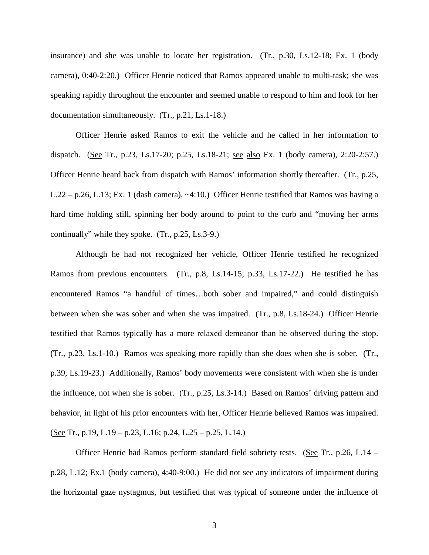insurance) and she was unable to locate her registration. (Tr., p.30, Ls.12-18; Ex. 1 (body camera), 0:40-2:20.) Officer Henrie noticed that Ramos appeared unable to multi-task; she was speaking rapidly throughout the encounter and seemed unable to respond to him and look for her documentation simultaneously. (Tr., p.21, Ls.1-18.)

Officer Henrie asked Ramos to exit the vehicle and he called in her information to dispatch. (See Tr., p.23, Ls.17-20; p.25, Ls.18-21; see also Ex. 1 (body camera), 2:20-2:57.) Officer Henrie heard back from dispatch with Ramos' information shortly thereafter. (Tr., p.25, L.22 – p.26, L.13; Ex. 1 (dash camera), ~4:10.) Officer Henrie testified that Ramos was having a hard time holding still, spinning her body around to point to the curb and "moving her arms continually" while they spoke. (Tr., p.25, Ls.3-9.)

Although he had not recognized her vehicle, Officer Henrie testified he recognized Ramos from previous encounters. (Tr., p.8, Ls.14-15; p.33, Ls.17-22.) He testified he has encountered Ramos "a handful of times…both sober and impaired," and could distinguish between when she was sober and when she was impaired. (Tr., p.8, Ls.18-24.) Officer Henrie testified that Ramos typically has a more relaxed demeanor than he observed during the stop. (Tr., p.23, Ls.1-10.) Ramos was speaking more rapidly than she does when she is sober. (Tr., p.39, Ls.19-23.) Additionally, Ramos' body movements were consistent with when she is under the influence, not when she is sober. (Tr., p.25, Ls.3-14.) Based on Ramos' driving pattern and behavior, in light of his prior encounters with her, Officer Henrie believed Ramos was impaired. (See Tr., p.19, L.19 – p.23, L.16; p.24, L.25 – p.25, L.14.)

Officer Henrie had Ramos perform standard field sobriety tests. (See Tr., p.26, L.14 – p.28, L.12; Ex.1 (body camera), 4:40-9:00.) He did not see any indicators of impairment during the horizontal gaze nystagmus, but testified that was typical of someone under the influence of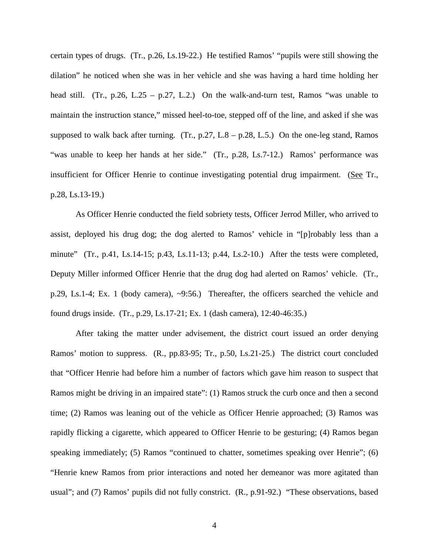certain types of drugs. (Tr., p.26, Ls.19-22.) He testified Ramos' "pupils were still showing the dilation" he noticed when she was in her vehicle and she was having a hard time holding her head still. (Tr., p.26, L.25 – p.27, L.2.) On the walk-and-turn test, Ramos "was unable to maintain the instruction stance," missed heel-to-toe, stepped off of the line, and asked if she was supposed to walk back after turning. (Tr.,  $p.27$ ,  $L.8 - p.28$ ,  $L.5$ .) On the one-leg stand, Ramos "was unable to keep her hands at her side." (Tr., p.28, Ls.7-12.) Ramos' performance was insufficient for Officer Henrie to continue investigating potential drug impairment. (See Tr., p.28, Ls.13-19.)

As Officer Henrie conducted the field sobriety tests, Officer Jerrod Miller, who arrived to assist, deployed his drug dog; the dog alerted to Ramos' vehicle in "[p]robably less than a minute" (Tr., p.41, Ls.14-15; p.43, Ls.11-13; p.44, Ls.2-10.) After the tests were completed, Deputy Miller informed Officer Henrie that the drug dog had alerted on Ramos' vehicle. (Tr., p.29, Ls.1-4; Ex. 1 (body camera), ~9:56.) Thereafter, the officers searched the vehicle and found drugs inside. (Tr., p.29, Ls.17-21; Ex. 1 (dash camera), 12:40-46:35.)

After taking the matter under advisement, the district court issued an order denying Ramos' motion to suppress. (R., pp.83-95; Tr., p.50, Ls.21-25.) The district court concluded that "Officer Henrie had before him a number of factors which gave him reason to suspect that Ramos might be driving in an impaired state": (1) Ramos struck the curb once and then a second time; (2) Ramos was leaning out of the vehicle as Officer Henrie approached; (3) Ramos was rapidly flicking a cigarette, which appeared to Officer Henrie to be gesturing; (4) Ramos began speaking immediately; (5) Ramos "continued to chatter, sometimes speaking over Henrie"; (6) "Henrie knew Ramos from prior interactions and noted her demeanor was more agitated than usual"; and (7) Ramos' pupils did not fully constrict. (R., p.91-92.) "These observations, based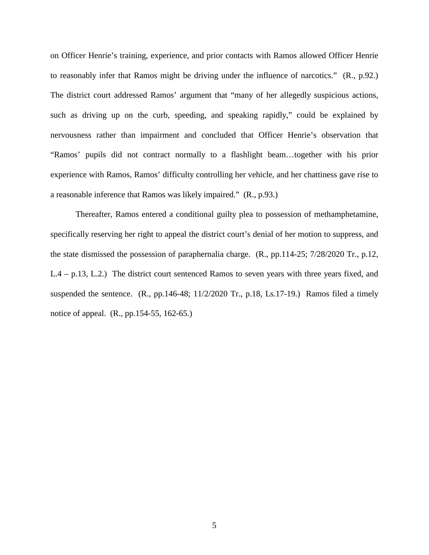on Officer Henrie's training, experience, and prior contacts with Ramos allowed Officer Henrie to reasonably infer that Ramos might be driving under the influence of narcotics." (R., p.92.) The district court addressed Ramos' argument that "many of her allegedly suspicious actions, such as driving up on the curb, speeding, and speaking rapidly," could be explained by nervousness rather than impairment and concluded that Officer Henrie's observation that "Ramos' pupils did not contract normally to a flashlight beam…together with his prior experience with Ramos, Ramos' difficulty controlling her vehicle, and her chattiness gave rise to a reasonable inference that Ramos was likely impaired." (R., p.93.)

Thereafter, Ramos entered a conditional guilty plea to possession of methamphetamine, specifically reserving her right to appeal the district court's denial of her motion to suppress, and the state dismissed the possession of paraphernalia charge. (R., pp.114-25; 7/28/2020 Tr., p.12, L.4 – p.13, L.2.) The district court sentenced Ramos to seven years with three years fixed, and suspended the sentence. (R., pp.146-48; 11/2/2020 Tr., p.18, Ls.17-19.) Ramos filed a timely notice of appeal. (R., pp.154-55, 162-65.)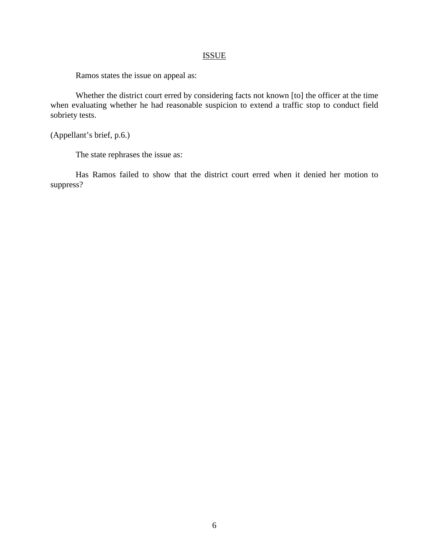## ISSUE

Ramos states the issue on appeal as:

Whether the district court erred by considering facts not known [to] the officer at the time when evaluating whether he had reasonable suspicion to extend a traffic stop to conduct field sobriety tests.

(Appellant's brief, p.6.)

The state rephrases the issue as:

Has Ramos failed to show that the district court erred when it denied her motion to suppress?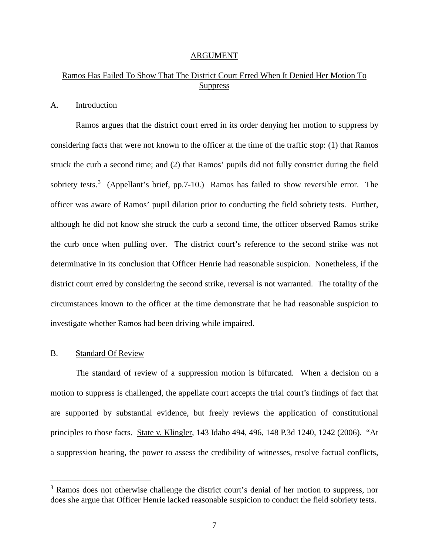#### ARGUMENT

# Ramos Has Failed To Show That The District Court Erred When It Denied Her Motion To **Suppress**

#### A. Introduction

Ramos argues that the district court erred in its order denying her motion to suppress by considering facts that were not known to the officer at the time of the traffic stop: (1) that Ramos struck the curb a second time; and (2) that Ramos' pupils did not fully constrict during the field sobriety tests.<sup>[3](#page-10-0)</sup> (Appellant's brief, pp.7-10.) Ramos has failed to show reversible error. The officer was aware of Ramos' pupil dilation prior to conducting the field sobriety tests. Further, although he did not know she struck the curb a second time, the officer observed Ramos strike the curb once when pulling over. The district court's reference to the second strike was not determinative in its conclusion that Officer Henrie had reasonable suspicion. Nonetheless, if the district court erred by considering the second strike, reversal is not warranted. The totality of the circumstances known to the officer at the time demonstrate that he had reasonable suspicion to investigate whether Ramos had been driving while impaired.

#### B. Standard Of Review

 $\overline{a}$ 

The standard of review of a suppression motion is bifurcated. When a decision on a motion to suppress is challenged, the appellate court accepts the trial court's findings of fact that are supported by substantial evidence, but freely reviews the application of constitutional principles to those facts. State v. Klingler, 143 Idaho 494, 496, 148 P.3d 1240, 1242 (2006). "At a suppression hearing, the power to assess the credibility of witnesses, resolve factual conflicts,

<span id="page-10-0"></span><sup>&</sup>lt;sup>3</sup> Ramos does not otherwise challenge the district court's denial of her motion to suppress, nor does she argue that Officer Henrie lacked reasonable suspicion to conduct the field sobriety tests.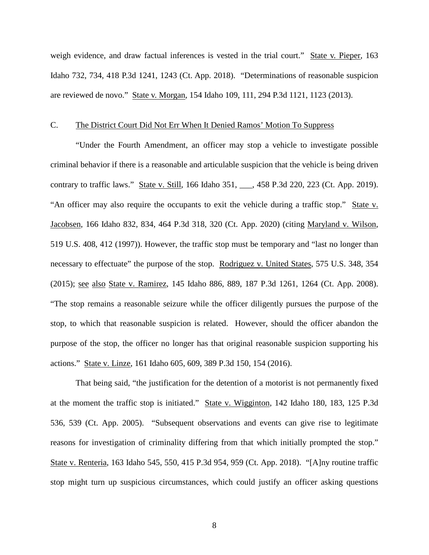weigh evidence, and draw factual inferences is vested in the trial court." State v. Pieper, 163 Idaho 732, 734, 418 P.3d 1241, 1243 (Ct. App. 2018). "Determinations of reasonable suspicion are reviewed de novo." State v. Morgan, 154 Idaho 109, 111, 294 P.3d 1121, 1123 (2013).

#### C. The District Court Did Not Err When It Denied Ramos' Motion To Suppress

"Under the Fourth Amendment, an officer may stop a vehicle to investigate possible criminal behavior if there is a reasonable and articulable suspicion that the vehicle is being driven contrary to traffic laws." State v. Still, 166 Idaho 351, \_\_\_, 458 P.3d 220, 223 (Ct. App. 2019). "An officer may also require the occupants to exit the vehicle during a traffic stop." State v. Jacobsen, 166 Idaho 832, 834, 464 P.3d 318, 320 (Ct. App. 2020) (citing Maryland v. Wilson, 519 U.S. 408, 412 (1997)). However, the traffic stop must be temporary and "last no longer than necessary to effectuate" the purpose of the stop. Rodriguez v. United States, 575 U.S. 348, 354 (2015); see also State v. Ramirez, 145 Idaho 886, 889, 187 P.3d 1261, 1264 (Ct. App. 2008). "The stop remains a reasonable seizure while the officer diligently pursues the purpose of the stop, to which that reasonable suspicion is related. However, should the officer abandon the purpose of the stop, the officer no longer has that original reasonable suspicion supporting his actions." State v. Linze, 161 Idaho 605, 609, 389 P.3d 150, 154 (2016).

That being said, "the justification for the detention of a motorist is not permanently fixed at the moment the traffic stop is initiated." State v. Wigginton, 142 Idaho 180, 183, 125 P.3d 536, 539 (Ct. App. 2005). "Subsequent observations and events can give rise to legitimate reasons for investigation of criminality differing from that which initially prompted the stop." State v. Renteria, 163 Idaho 545, 550, 415 P.3d 954, 959 (Ct. App. 2018). "[A]ny routine traffic stop might turn up suspicious circumstances, which could justify an officer asking questions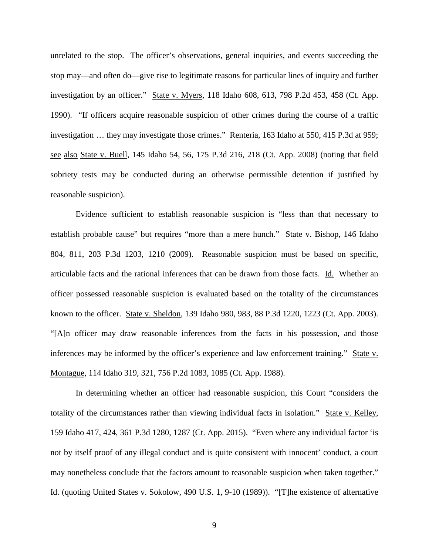unrelated to the stop. The officer's observations, general inquiries, and events succeeding the stop may—and often do—give rise to legitimate reasons for particular lines of inquiry and further investigation by an officer." State v. Myers, 118 Idaho 608, 613, 798 P.2d 453, 458 (Ct. App. 1990). "If officers acquire reasonable suspicion of other crimes during the course of a traffic investigation … they may investigate those crimes." Renteria, 163 Idaho at 550, 415 P.3d at 959; see also State v. Buell, 145 Idaho 54, 56, 175 P.3d 216, 218 (Ct. App. 2008) (noting that field sobriety tests may be conducted during an otherwise permissible detention if justified by reasonable suspicion).

Evidence sufficient to establish reasonable suspicion is "less than that necessary to establish probable cause" but requires "more than a mere hunch." State v. Bishop, 146 Idaho 804, 811, 203 P.3d 1203, 1210 (2009). Reasonable suspicion must be based on specific, articulable facts and the rational inferences that can be drawn from those facts. Id. Whether an officer possessed reasonable suspicion is evaluated based on the totality of the circumstances known to the officer. State v. Sheldon, 139 Idaho 980, 983, 88 P.3d 1220, 1223 (Ct. App. 2003). "[A]n officer may draw reasonable inferences from the facts in his possession, and those inferences may be informed by the officer's experience and law enforcement training." State v. Montague, 114 Idaho 319, 321, 756 P.2d 1083, 1085 (Ct. App. 1988).

In determining whether an officer had reasonable suspicion, this Court "considers the totality of the circumstances rather than viewing individual facts in isolation." State v. Kelley, 159 Idaho 417, 424, 361 P.3d 1280, 1287 (Ct. App. 2015). "Even where any individual factor 'is not by itself proof of any illegal conduct and is quite consistent with innocent' conduct, a court may nonetheless conclude that the factors amount to reasonable suspicion when taken together." Id. (quoting United States v. Sokolow, 490 U.S. 1, 9-10 (1989)). "[T]he existence of alternative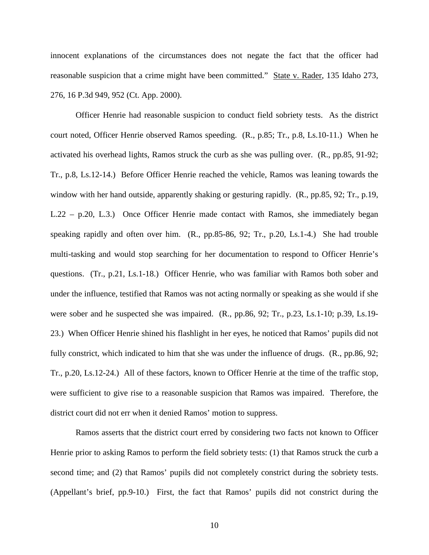innocent explanations of the circumstances does not negate the fact that the officer had reasonable suspicion that a crime might have been committed." State v. Rader, 135 Idaho 273, 276, 16 P.3d 949, 952 (Ct. App. 2000).

Officer Henrie had reasonable suspicion to conduct field sobriety tests. As the district court noted, Officer Henrie observed Ramos speeding. (R., p.85; Tr., p.8, Ls.10-11.) When he activated his overhead lights, Ramos struck the curb as she was pulling over. (R., pp.85, 91-92; Tr., p.8, Ls.12-14.) Before Officer Henrie reached the vehicle, Ramos was leaning towards the window with her hand outside, apparently shaking or gesturing rapidly. (R., pp.85, 92; Tr., p.19, L.22 – p.20, L.3.) Once Officer Henrie made contact with Ramos, she immediately began speaking rapidly and often over him. (R., pp.85-86, 92; Tr., p.20, Ls.1-4.) She had trouble multi-tasking and would stop searching for her documentation to respond to Officer Henrie's questions. (Tr., p.21, Ls.1-18.) Officer Henrie, who was familiar with Ramos both sober and under the influence, testified that Ramos was not acting normally or speaking as she would if she were sober and he suspected she was impaired. (R., pp.86, 92; Tr., p.23, Ls.1-10; p.39, Ls.19- 23.) When Officer Henrie shined his flashlight in her eyes, he noticed that Ramos' pupils did not fully constrict, which indicated to him that she was under the influence of drugs. (R., pp.86, 92; Tr., p.20, Ls.12-24.) All of these factors, known to Officer Henrie at the time of the traffic stop, were sufficient to give rise to a reasonable suspicion that Ramos was impaired. Therefore, the district court did not err when it denied Ramos' motion to suppress.

Ramos asserts that the district court erred by considering two facts not known to Officer Henrie prior to asking Ramos to perform the field sobriety tests: (1) that Ramos struck the curb a second time; and (2) that Ramos' pupils did not completely constrict during the sobriety tests. (Appellant's brief, pp.9-10.) First, the fact that Ramos' pupils did not constrict during the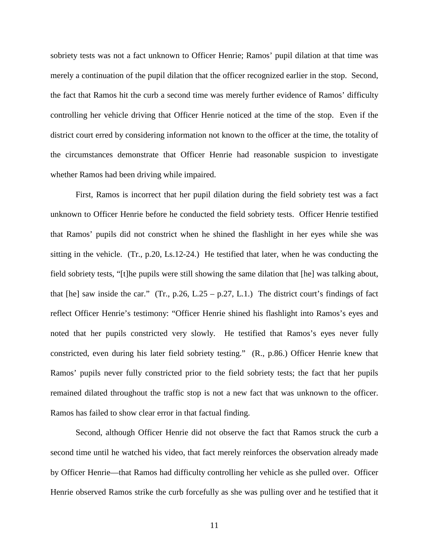sobriety tests was not a fact unknown to Officer Henrie; Ramos' pupil dilation at that time was merely a continuation of the pupil dilation that the officer recognized earlier in the stop. Second, the fact that Ramos hit the curb a second time was merely further evidence of Ramos' difficulty controlling her vehicle driving that Officer Henrie noticed at the time of the stop. Even if the district court erred by considering information not known to the officer at the time, the totality of the circumstances demonstrate that Officer Henrie had reasonable suspicion to investigate whether Ramos had been driving while impaired.

First, Ramos is incorrect that her pupil dilation during the field sobriety test was a fact unknown to Officer Henrie before he conducted the field sobriety tests. Officer Henrie testified that Ramos' pupils did not constrict when he shined the flashlight in her eyes while she was sitting in the vehicle. (Tr., p.20, Ls.12-24.) He testified that later, when he was conducting the field sobriety tests, "[t]he pupils were still showing the same dilation that [he] was talking about, that [he] saw inside the car." (Tr., p.26, L.25 – p.27, L.1.) The district court's findings of fact reflect Officer Henrie's testimony: "Officer Henrie shined his flashlight into Ramos's eyes and noted that her pupils constricted very slowly. He testified that Ramos's eyes never fully constricted, even during his later field sobriety testing." (R., p.86.) Officer Henrie knew that Ramos' pupils never fully constricted prior to the field sobriety tests; the fact that her pupils remained dilated throughout the traffic stop is not a new fact that was unknown to the officer. Ramos has failed to show clear error in that factual finding.

Second, although Officer Henrie did not observe the fact that Ramos struck the curb a second time until he watched his video, that fact merely reinforces the observation already made by Officer Henrie—that Ramos had difficulty controlling her vehicle as she pulled over. Officer Henrie observed Ramos strike the curb forcefully as she was pulling over and he testified that it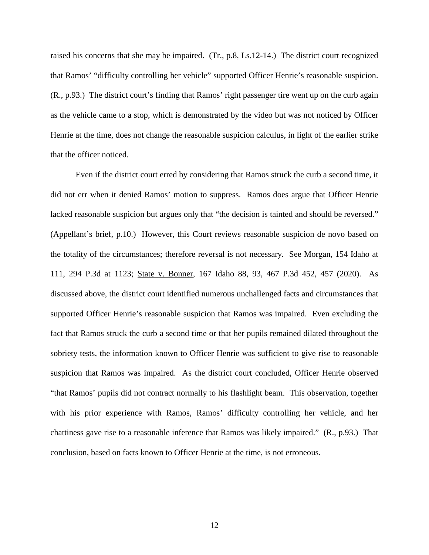raised his concerns that she may be impaired. (Tr., p.8, Ls.12-14.) The district court recognized that Ramos' "difficulty controlling her vehicle" supported Officer Henrie's reasonable suspicion. (R., p.93.) The district court's finding that Ramos' right passenger tire went up on the curb again as the vehicle came to a stop, which is demonstrated by the video but was not noticed by Officer Henrie at the time, does not change the reasonable suspicion calculus, in light of the earlier strike that the officer noticed.

Even if the district court erred by considering that Ramos struck the curb a second time, it did not err when it denied Ramos' motion to suppress. Ramos does argue that Officer Henrie lacked reasonable suspicion but argues only that "the decision is tainted and should be reversed." (Appellant's brief, p.10.) However, this Court reviews reasonable suspicion de novo based on the totality of the circumstances; therefore reversal is not necessary. See Morgan, 154 Idaho at 111, 294 P.3d at 1123; State v. Bonner, 167 Idaho 88, 93, 467 P.3d 452, 457 (2020). As discussed above, the district court identified numerous unchallenged facts and circumstances that supported Officer Henrie's reasonable suspicion that Ramos was impaired. Even excluding the fact that Ramos struck the curb a second time or that her pupils remained dilated throughout the sobriety tests, the information known to Officer Henrie was sufficient to give rise to reasonable suspicion that Ramos was impaired. As the district court concluded, Officer Henrie observed "that Ramos' pupils did not contract normally to his flashlight beam. This observation, together with his prior experience with Ramos, Ramos' difficulty controlling her vehicle, and her chattiness gave rise to a reasonable inference that Ramos was likely impaired." (R., p.93.) That conclusion, based on facts known to Officer Henrie at the time, is not erroneous.